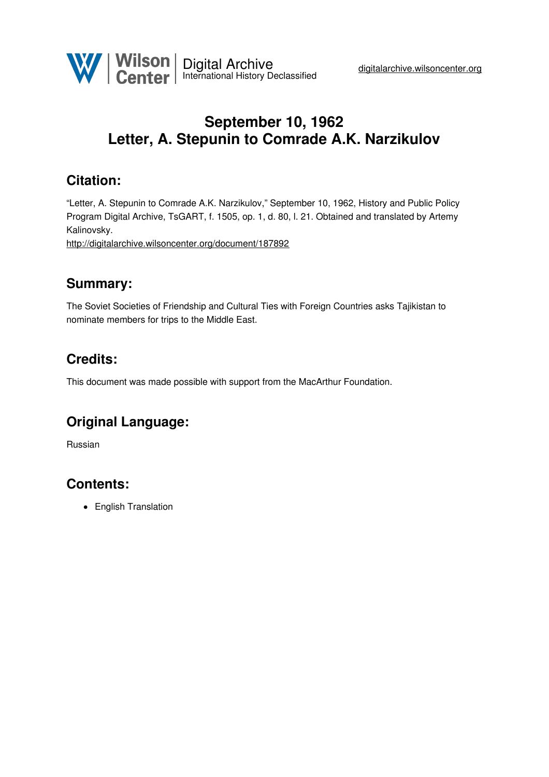

# **September 10, 1962 Letter, A. Stepunin to Comrade A.K. Narzikulov**

## **Citation:**

"Letter, A. Stepunin to Comrade A.K. Narzikulov," September 10, 1962, History and Public Policy Program Digital Archive, TsGART, f. 1505, op. 1, d. 80, l. 21. Obtained and translated by Artemy Kalinovsky.

<http://digitalarchive.wilsoncenter.org/document/187892>

#### **Summary:**

The Soviet Societies of Friendship and Cultural Ties with Foreign Countries asks Tajikistan to nominate members for trips to the Middle East.

### **Credits:**

This document was made possible with support from the MacArthur Foundation.

#### **Original Language:**

Russian

### **Contents:**

• English Translation